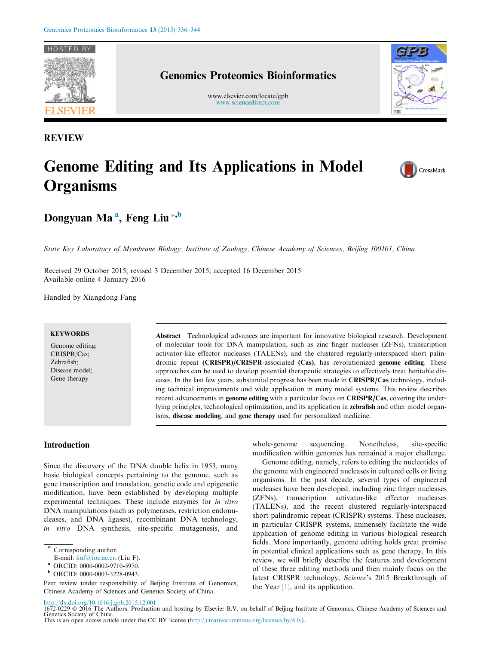

REVIEW

## Genomics Proteomics Bioinformatics

www.elsevier.com/locate/gpb [www.sciencedirect.com](http://www.sciencedirect.com)



# Genome Editing and Its Applications in Model **Organisms**



Dongyuan Ma<sup>a</sup>, Feng Liu \*<sup>,b</sup>

State Key Laboratory of Membrane Biology, Institute of Zoology, Chinese Academy of Sciences, Beijing 100101, China

Received 29 October 2015; revised 3 December 2015; accepted 16 December 2015 Available online 4 January 2016

Handled by Xiangdong Fang

#### **KEYWORDS**

Genome editing; CRISPR/Cas; Zebrafish; Disease model; Gene therapy

Abstract Technological advances are important for innovative biological research. Development of molecular tools for DNA manipulation, such as zinc finger nucleases (ZFNs), transcription activator-like effector nucleases (TALENs), and the clustered regularly-interspaced short palindromic repeat (CRISPR)/CRISPR-associated (Cas), has revolutionized genome editing. These approaches can be used to develop potential therapeutic strategies to effectively treat heritable diseases. In the last few years, substantial progress has been made in CRISPR/Cas technology, including technical improvements and wide application in many model systems. This review describes recent advancements in genome editing with a particular focus on CRISPR/Cas, covering the underlying principles, technological optimization, and its application in zebrafish and other model organisms, disease modeling, and gene therapy used for personalized medicine.

#### Introduction

Since the discovery of the DNA double helix in 1953, many basic biological concepts pertaining to the genome, such as gene transcription and translation, genetic code and epigenetic modification, have been established by developing multiple experimental techniques. These include enzymes for in vitro DNA manipulations (such as polymerases, restriction endonucleases, and DNA ligases), recombinant DNA technology, in vitro DNA synthesis, site-specific mutagenesis, and whole-genome sequencing. Nonetheless, site-specific modification within genomes has remained a major challenge.

Genome editing, namely, refers to editing the nucleotides of the genome with engineered nucleases in cultured cells or living organisms. In the past decade, several types of engineered nucleases have been developed, including zinc finger nucleases (ZFNs), transcription activator-like effector nucleases (TALENs), and the recent clustered regularly-interspaced short palindromic repeat (CRISPR) systems. These nucleases, in particular CRISPR systems, immensely facilitate the wide application of genome editing in various biological research fields. More importantly, genome editing holds great promise in potential clinical applications such as gene therapy. In this review, we will briefly describe the features and development of these three editing methods and then mainly focus on the latest CRISPR technology, Science's 2015 Breakthrough of the Year [\[1\],](#page-6-0) and its application.

Corresponding author.

E-mail: [liuf@ioz.ac.cn](mailto:liuf@ioz.ac.cn) (Liu F).

<sup>a</sup> ORCID: 0000-0002-9710-5970.

<sup>b</sup> ORCID: 0000-0003-3228-0943.

Peer review under responsibility of Beijing Institute of Genomics, Chinese Academy of Sciences and Genetics Society of China.

<http://dx.doi.org/10.1016/j.gpb.2015.12.001> 1672-0229 2016 The Authors. Production and hosting by Elsevier B.V. on behalf of Beijing Institute of Genomics, Chinese Academy of Sciences and Genetics Society of China.

This is an open access article under the CC BY license (<http://creativecommons.org/licenses/by/4.0/>).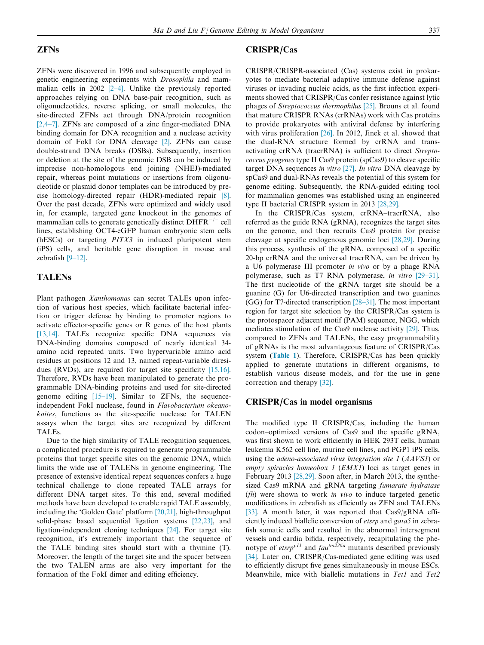## ZFNs

ZFNs were discovered in 1996 and subsequently employed in genetic engineering experiments with Drosophila and mammalian cells in 2002 [\[2–4\].](#page-6-0) Unlike the previously reported approaches relying on DNA base-pair recognition, such as oligonucleotides, reverse splicing, or small molecules, the site-directed ZFNs act through DNA/protein recognition [\[2,4–7\].](#page-6-0) ZFNs are composed of a zinc finger-mediated DNA binding domain for DNA recognition and a nuclease activity domain of FokI for DNA cleavage [\[2\].](#page-6-0) ZFNs can cause double-strand DNA breaks (DSBs). Subsequently, insertion or deletion at the site of the genomic DSB can be induced by imprecise non-homologous end joining (NHEJ)-mediated repair, whereas point mutations or insertions from oligonucleotide or plasmid donor templates can be introduced by precise homology-directed repair (HDR)-mediated repair [\[8\]](#page-6-0). Over the past decade, ZFNs were optimized and widely used in, for example, targeted gene knockout in the genomes of mammalian cells to generate genetically distinct  $DHFR^{-/-}$  cell lines, establishing OCT4-eGFP human embryonic stem cells (hESCs) or targeting PITX3 in induced pluripotent stem (iPS) cells, and heritable gene disruption in mouse and zebrafish [\[9–12\]](#page-7-0).

## TALENs

Plant pathogen Xanthomonas can secret TALEs upon infection of various host species, which facilitate bacterial infection or trigger defense by binding to promoter regions to activate effector-specific genes or R genes of the host plants [\[13,14\].](#page-7-0) TALEs recognize specific DNA sequences via DNA-binding domains composed of nearly identical 34 amino acid repeated units. Two hypervariable amino acid residues at positions 12 and 13, named repeat-variable diresidues (RVDs), are required for target site specificity [\[15,16\].](#page-7-0) Therefore, RVDs have been manipulated to generate the programmable DNA-binding proteins and used for site-directed genome editing [\[15–19\].](#page-7-0) Similar to ZFNs, the sequenceindependent FokI nuclease, found in Flavobacterium okeanokoites, functions as the site-specific nuclease for TALEN assays when the target sites are recognized by different TALEs.

Due to the high similarity of TALE recognition sequences, a complicated procedure is required to generate programmable proteins that target specific sites on the genomic DNA, which limits the wide use of TALENs in genome engineering. The presence of extensive identical repeat sequences confers a huge technical challenge to clone repeated TALE arrays for different DNA target sites. To this end, several modified methods have been developed to enable rapid TALE assembly, including the 'Golden Gate' platform [\[20,21\]](#page-7-0), high-throughput solid-phase based sequential ligation systems [\[22,23\],](#page-7-0) and ligation-independent cloning techniques [\[24\].](#page-7-0) For target site recognition, it's extremely important that the sequence of the TALE binding sites should start with a thymine (T). Moreover, the length of the target site and the spacer between the two TALEN arms are also very important for the formation of the FokI dimer and editing efficiency.

#### CRISPR/Cas

CRISPR/CRISPR-associated (Cas) systems exist in prokaryotes to mediate bacterial adaptive immune defense against viruses or invading nucleic acids, as the first infection experiments showed that CRISPR/Cas confer resistance against lytic phages of Streptococcus thermophilus [\[25\]](#page-7-0). Brouns et al. found that mature CRISPR RNAs (crRNAs) work with Cas proteins to provide prokaryotes with antiviral defense by interfering with virus proliferation [\[26\]](#page-7-0). In 2012, Jinek et al. showed that the dual-RNA structure formed by crRNA and transactivating crRNA (tracrRNA) is sufficient to direct Streptococcus pyogenes type II Cas9 protein (spCas9) to cleave specific target DNA sequences in vitro  $[27]$ . In vitro DNA cleavage by spCas9 and dual-RNAs reveals the potential of this system for genome editing. Subsequently, the RNA-guided editing tool for mammalian genomes was established using an engineered type II bacterial CRISPR system in 2013 [\[28,29\].](#page-7-0)

In the CRISPR/Cas system, crRNA–tracrRNA, also referred as the guide RNA (gRNA), recognizes the target sites on the genome, and then recruits Cas9 protein for precise cleavage at specific endogenous genomic loci [\[28,29\].](#page-7-0) During this process, synthesis of the gRNA, composed of a specific 20-bp crRNA and the universal tracrRNA, can be driven by a U6 polymerase III promoter in vivo or by a phage RNA polymerase, such as T7 RNA polymerase, in vitro [\[29–31\]](#page-7-0). The first nucleotide of the gRNA target site should be a guanine (G) for U6-directed transcription and two guanines (GG) for T7-directed transcription [\[28–31\]](#page-7-0). The most important region for target site selection by the CRISPR/Cas system is the protospacer adjacent motif (PAM) sequence, NGG, which mediates stimulation of the Cas9 nuclease activity [\[29\]](#page-7-0). Thus, compared to ZFNs and TALENs, the easy programmability of gRNAs is the most advantageous feature of CRISPR/Cas system ([Table 1](#page-2-0)). Therefore, CRISPR/Cas has been quickly applied to generate mutations in different organisms, to establish various disease models, and for the use in gene correction and therapy [\[32\].](#page-7-0)

## CRISPR/Cas in model organisms

The modified type II CRISPR/Cas, including the human codon–optimized versions of Cas9 and the specific gRNA, was first shown to work efficiently in HEK 293T cells, human leukemia K562 cell line, murine cell lines, and PGP1 iPS cells, using the adeno-associated virus integration site 1 (AAVS1) or empty spiracles homeobox 1 (EMX1) loci as target genes in February 2013 [\[28,29\].](#page-7-0) Soon after, in March 2013, the synthesized Cas9 mRNA and gRNA targeting fumarate hydratase  $(fh)$  were shown to work *in vivo* to induce targeted genetic modifications in zebrafish as efficiently as ZFN and TALENs [\[33\]](#page-7-0). A month later, it was reported that Cas9/gRNA efficiently induced biallelic conversion of etsrp and gata5 in zebrafish somatic cells and resulted in the abnormal intersegment vessels and cardia bifida, respectively, recapitulating the phenotype of  $\text{etr}^{y11}$  and  $\text{fan}^{tm236a}$  mutants described previously [\[34\]](#page-7-0). Later on, CRISPR/Cas-mediated gene editing was used to efficiently disrupt five genes simultaneously in mouse ESCs. Meanwhile, mice with biallelic mutations in Tet1 and Tet2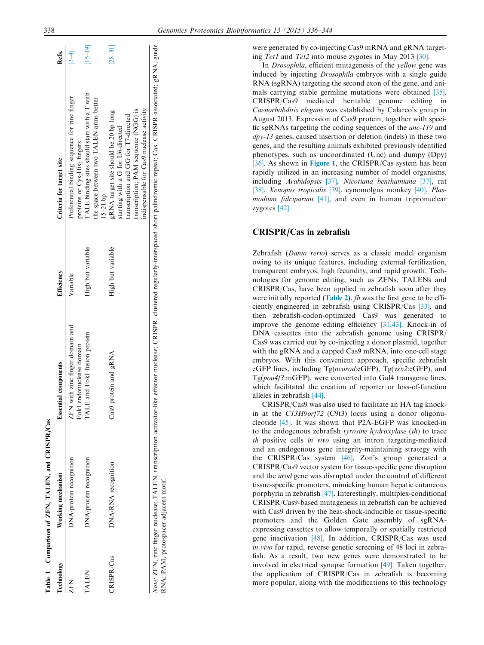were generated by co-injecting Cas9 mRNA and gRNA targeting Tet1 and Tet2 into mouse zygotes in May 2013 [\[30\].](#page-7-0)

In *Drosophila*, efficient mutagenesis of the *yellow* gene was induced by injecting Drosophila embryos with a single guide RNA (sgRNA) targeting the second exon of the gene, and animals carrying stable germline mutations were obtained [\[35\]](#page-7-0). CRISPR/Cas9 mediated heritable genome editing in Caenorhabditis elegans was established by Calarco's group in August 2013. Expression of Cas9 protein, together with specific sgRNAs targeting the coding sequences of the unc-119 and  $\frac{dp}{v}$ -13 genes, caused insertion or deletion (indels) in these two genes, and the resulting animals exhibited previously identified phenotypes, such as uncoordinated (Unc) and dumpy (Dpy) [\[36\].](#page-7-0) As shown in [Figure 1](#page-3-0), the CRISPR/Cas system has been rapidly utilized in an increasing number of model organisms, including Arabidopsis [\[37\],](#page-7-0) Nicotiana benthamiana [\[37\]](#page-7-0), rat [\[38\],](#page-7-0) Xenopus tropicalis [\[39\]](#page-7-0), cynomolgus monkey [\[40\]](#page-7-0), Plas-modium falciparum [\[41\],](#page-7-0) and even in human tripronuclear zygotes [\[42\].](#page-7-0)

## CRISPR/Cas in zebrafish

Zebrafish (Danio rerio) serves as a classic model organism owing to its unique features, including external fertilization, transparent embryos, high fecundity, and rapid growth. Technologies for genome editing, such as ZFNs, TALENs and CRISPR/Cas, have been applied in zebrafish soon after they were initially reported ([Table 2](#page-3-0)). *fh* was the first gene to be efficiently engineered in zebrafish using CRISPR/Cas [\[33\],](#page-7-0) and then zebrafish-codon-optimized Cas9 was generated to improve the genome editing efficiency [\[31,43\].](#page-7-0) Knock-in of DNA cassettes into the zebrafish genome using CRISPR/ Cas9 was carried out by co-injecting a donor plasmid, together with the gRNA and a capped Cas9 mRNA, into one-cell stage embryos. With this convenient approach, specific zebrafish eGFP lines, including Tg(neurod:eGFP), Tg(vsx2:eGFP), and Tg(pou4f3:mGFP), were converted into Gal4 transgenic lines, which facilitated the creation of reporter or loss-of-function alleles in zebrafish [\[44\]](#page-7-0).

CRISPR/Cas9 was also used to facilitate an HA tag knockin at the C13H9orf72 (C9t3) locus using a donor oligonucleotide [\[45\].](#page-7-0) It was shown that P2A-EGFP was knocked-in to the endogenous zebrafish tyrosine hydroxylase (th) to trace th positive cells in vivo using an intron targeting-mediated and an endogenous gene integrity-maintaining strategy with the CRISPR/Cas system [\[46\]](#page-7-0). Zon's group generated a CRISPR/Cas9 vector system for tissue-specific gene disruption and the urod gene was disrupted under the control of different tissue-specific promoters, mimicking human hepatic cutaneous porphyria in zebrafish [\[47\].](#page-7-0) Interestingly, multiplex-conditional CRISPR/Cas9-based mutagenesis in zebrafish can be achieved with Cas9 driven by the heat-shock-inducible or tissue-specific promoters and the Golden Gate assembly of sgRNAexpressing cassettes to allow temporally or spatially restricted gene inactivation [\[48\]](#page-7-0). In addition, CRISPR/Cas was used in vivo for rapid, reverse genetic screening of 48 loci in zebrafish. As a result, two new genes were demonstrated to be involved in electrical synapse formation [\[49\].](#page-8-0) Taken together, the application of CRISPR/Cas in zebrafish is becoming more popular, along with the modifications to this technology

| $\sim$ $\sim$ $\sim$ $\sim$ $\sim$ $\sim$ |
|-------------------------------------------|
| Ē<br>j                                    |
| ;<br>-<br> <br>                           |
| ;<br>;<br>;                               |
| ľ<br>ζ                                    |
| j                                         |

 $\frac{1}{2}$ 

Q.

<span id="page-2-0"></span>

| <b>Technology</b>                     | Working mechanism       | <b>Essential components</b>                                 | Efficiency        | Criteria for target site                                                                                                                                                                              | Refs.       |
|---------------------------------------|-------------------------|-------------------------------------------------------------|-------------------|-------------------------------------------------------------------------------------------------------------------------------------------------------------------------------------------------------|-------------|
| ZFN                                   | DNA/protein recognition | ZFN with zinc finger domain and<br>FokI endonuclease domain | Variable          | Preferential binding sequence for zinc finger<br>proteins or Cys2His2 fingers                                                                                                                         | $[2-4]$     |
| TALEN                                 | DNA/protein recognition | TALE and FokI fusion protein                                | High but variable | TALE binding sites should start with a T with<br>the space between two TALEN arms better<br>$15 - 21$ bp                                                                                              | $15-19$ ]   |
| CRISPR/Cas                            | DNA/RNA recognition     | Cas9 protein and gRNA                                       | High but variable | indispensable for Cas9 nuclease activity<br>transcription; PAM sequence (NGG) is<br>gRNA target site should be 20 bp long<br>ranscription and GG for T7-directed<br>starting with a G for U6-directed | $[28 - 31]$ |
| RNA; PAM, protospacer adjacent motif. |                         |                                                             |                   | Note: ZFN, zinc finger nuclease; TALEN, transcription activator-like effector nuclease; CRISPR, clustered regularly-interspaced short palindromic repeat; Cas, CRISPR-associated; gRNA, guide         |             |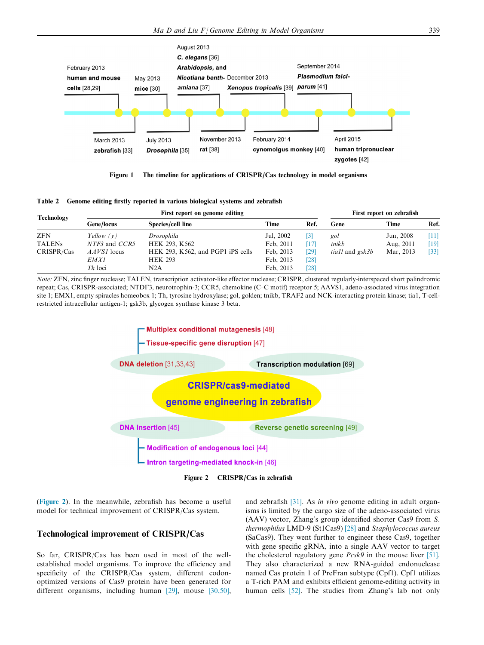<span id="page-3-0"></span>

Figure 1 The timeline for applications of CRISPR/Cas technology in model organisms

|  | Table 2 Genome editing firstly reported in various biological systems and zebrafish |  |  |  |  |  |  |  |  |  |  |
|--|-------------------------------------------------------------------------------------|--|--|--|--|--|--|--|--|--|--|
|--|-------------------------------------------------------------------------------------|--|--|--|--|--|--|--|--|--|--|

| <b>Technology</b> |               | First report on genome editing    | First report on zebrafish |                   |                               |           |        |
|-------------------|---------------|-----------------------------------|---------------------------|-------------------|-------------------------------|-----------|--------|
|                   | Gene/locus    | Species/cell line                 | Time                      | Ref.              | Gene                          | Time      | Ref.   |
| <b>ZFN</b>        | Yellow $(v)$  | Drosophila                        | Jul, 2002                 | $\lceil 3 \rceil$ | gol                           | Jun, 2008 | $[11]$ |
| <b>TALENs</b>     | NTF3 and CCR5 | HEK 293, K562                     | Feb. 2011                 | [17]              | tnikb                         | Aug, 2011 | [19]   |
| CRISPR/Cas        | $AAVSI$ locus | HEK 293, K562, and PGP1 iPS cells | Feb. 2013                 | [29]              | <i>tiall</i> and <i>gsk3b</i> | Mar, 2013 | $[33]$ |
|                   | <i>EMX1</i>   | <b>HEK 293</b>                    | Feb. 2013                 | [28]              |                               |           |        |
|                   | $Th$ loci     | N2A                               | Feb. 2013                 | [28]              |                               |           |        |

Note: ZFN, zinc finger nuclease; TALEN, transcription activator-like effector nuclease; CRISPR, clustered regularly-interspaced short palindromic repeat; Cas, CRISPR-associated; NTDF3, neurotrophin-3; CCR5, chemokine (C–C motif) receptor 5; AAVS1, adeno-associated virus integration site 1; EMX1, empty spiracles homeobox 1; Th, tyrosine hydroxylase; gol, golden; tnikb, TRAF2 and NCK-interacting protein kinase; tia1, T-cellrestricted intracellular antigen-1; gsk3b, glycogen synthase kinase 3 beta.



Figure 2 CRISPR/Cas in zebrafish

(Figure 2). In the meanwhile, zebrafish has become a useful model for technical improvement of CRISPR/Cas system.

## Technological improvement of CRISPR/Cas

So far, CRISPR/Cas has been used in most of the wellestablished model organisms. To improve the efficiency and specificity of the CRISPR/Cas system, different codonoptimized versions of Cas9 protein have been generated for different organisms, including human [\[29\]](#page-7-0), mouse [\[30,50\]](#page-7-0), and zebrafish [\[31\].](#page-7-0) As in vivo genome editing in adult organisms is limited by the cargo size of the adeno-associated virus (AAV) vector, Zhang's group identified shorter Cas9 from S. thermophilus LMD-9 (St1Cas9) [\[28\]](#page-7-0) and Staphylococcus aureus (SaCas9). They went further to engineer these Cas9, together with gene specific gRNA, into a single AAV vector to target the cholesterol regulatory gene Pcsk9 in the mouse liver [\[51\]](#page-8-0). They also characterized a new RNA-guided endonuclease named Cas protein 1 of PreFran subtype (Cpf1). Cpf1 utilizes a T-rich PAM and exhibits efficient genome-editing activity in human cells [\[52\].](#page-8-0) The studies from Zhang's lab not only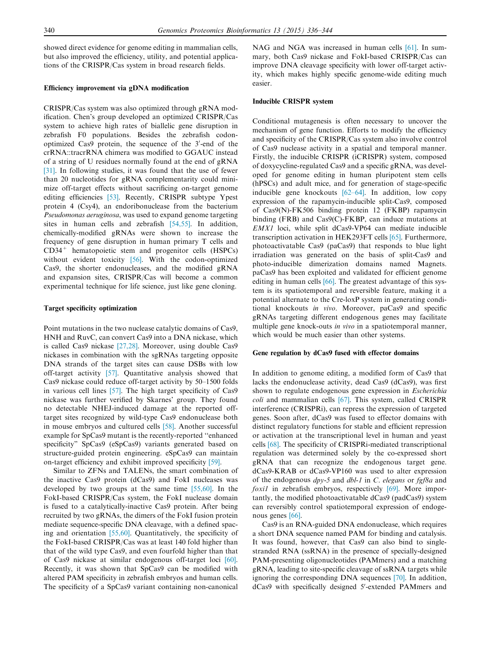showed direct evidence for genome editing in mammalian cells, but also improved the efficiency, utility, and potential applications of the CRISPR/Cas system in broad research fields.

#### Efficiency improvement via gDNA modification

CRISPR/Cas system was also optimized through gRNA modification. Chen's group developed an optimized CRISPR/Cas system to achieve high rates of biallelic gene disruption in zebrafish F0 populations. Besides the zebrafish codonoptimized Cas9 protein, the sequence of the 3'-end of the crRNA::tracrRNA chimera was modified to GGAUC instead of a string of U residues normally found at the end of gRNA [\[31\].](#page-7-0) In following studies, it was found that the use of fewer than 20 nucleotides for gRNA complementarity could minimize off-target effects without sacrificing on-target genome editing efficiencies [\[53\].](#page-8-0) Recently, CRISPR subtype Ypest protein 4 (Csy4), an endoribonuclease from the bacterium Pseudomonas aeruginosa, was used to expand genome targeting sites in human cells and zebrafish [\[54,55\]](#page-8-0). In addition, chemically-modified gRNAs were shown to increase the frequency of gene disruption in human primary T cells and CD34<sup>+</sup> hematopoietic stem and progenitor cells (HSPCs) without evident toxicity [\[56\]](#page-8-0). With the codon-optimized Cas9, the shorter endonucleases, and the modified gRNA and expansion sites, CRISPR/Cas will become a common experimental technique for life science, just like gene cloning.

#### Target specificity optimization

Point mutations in the two nuclease catalytic domains of Cas9, HNH and RuvC, can convert Cas9 into a DNA nickase, which is called Cas9 nickase [\[27,28\]](#page-7-0). Moreover, using double Cas9 nickases in combination with the sgRNAs targeting opposite DNA strands of the target sites can cause DSBs with low off-target activity [\[57\]](#page-8-0). Quantitative analysis showed that Cas9 nickase could reduce off-target activity by 50–1500 folds in various cell lines [\[57\].](#page-8-0) The high target specificity of Cas9 nickase was further verified by Skarnes' group. They found no detectable NHEJ-induced damage at the reported offtarget sites recognized by wild-type Cas9 endonuclease both in mouse embryos and cultured cells [\[58\]](#page-8-0). Another successful example for SpCas9 mutant is the recently-reported ''enhanced specificity" SpCas9 (eSpCas9) variants generated based on structure-guided protein engineering. eSpCas9 can maintain on-target efficiency and exhibit improved specificity [\[59\].](#page-8-0)

Similar to ZFNs and TALENs, the smart combination of the inactive Cas9 protein (dCas9) and FokI nucleases was developed by two groups at the same time [\[55,60\].](#page-8-0) In the FokI-based CRISPR/Cas system, the FokI nuclease domain is fused to a catalytically-inactive Cas9 protein. After being recruited by two gRNAs, the dimers of the FokI fusion protein mediate sequence-specific DNA cleavage, with a defined spacing and orientation [\[55,60\].](#page-8-0) Quantitatively, the specificity of the FokI-based CRISPR/Cas was at least 140 fold higher than that of the wild type Cas9, and even fourfold higher than that of Cas9 nickase at similar endogenous off-target loci [\[60\]](#page-8-0). Recently, it was shown that SpCas9 can be modified with altered PAM specificity in zebrafish embryos and human cells. The specificity of a SpCas9 variant containing non-canonical NAG and NGA was increased in human cells [\[61\].](#page-8-0) In summary, both Cas9 nickase and FokI-based CRISPR/Cas can improve DNA cleavage specificity with lower off-target activity, which makes highly specific genome-wide editing much easier.

#### Inducible CRISPR system

Conditional mutagenesis is often necessary to uncover the mechanism of gene function. Efforts to modify the efficiency and specificity of the CRISPR/Cas system also involve control of Cas9 nuclease activity in a spatial and temporal manner. Firstly, the inducible CRISPR (iCRISPR) system, composed of doxycycline-regulated Cas9 and a specific gRNA, was developed for genome editing in human pluripotent stem cells (hPSCs) and adult mice, and for generation of stage-specific inducible gene knockouts [\[62–64\]](#page-8-0). In addition, low copy expression of the rapamycin-inducible split-Cas9, composed of Cas9(N)-FK506 binding protein 12 (FKBP) rapamycin binding (FRB) and Cas9(C)-FKBP, can induce mutations at EMX1 loci, while split dCas9-VP64 can mediate inducible transcription activation in HEK293FT cells [\[65\]](#page-8-0). Furthermore, photoactivatable Cas9 (paCas9) that responds to blue light irradiation was generated on the basis of split-Cas9 and photo-inducible dimerization domains named Magnets. paCas9 has been exploited and validated for efficient genome editing in human cells [\[66\].](#page-8-0) The greatest advantage of this system is its spatiotemporal and reversible feature, making it a potential alternate to the Cre-loxP system in generating conditional knockouts in vivo. Moreover, paCas9 and specific gRNAs targeting different endogenous genes may facilitate multiple gene knock-outs in vivo in a spatiotemporal manner, which would be much easier than other systems.

#### Gene regulation by dCas9 fused with effector domains

In addition to genome editing, a modified form of Cas9 that lacks the endonuclease activity, dead Cas9 (dCas9), was first shown to regulate endogenous gene expression in Escherichia coli and mammalian cells [\[67\]](#page-8-0). This system, called CRISPR interference (CRISPRi), can repress the expression of targeted genes. Soon after, dCas9 was fused to effector domains with distinct regulatory functions for stable and efficient repression or activation at the transcriptional level in human and yeast cells [\[68\]](#page-8-0). The specificity of CRISPRi-mediated transcriptional regulation was determined solely by the co-expressed short gRNA that can recognize the endogenous target gene. dCas9-KRAB or dCas9-VP160 was used to alter expression of the endogenous  $dpy-5$  and  $dbl-1$  in C. elegans or fgf8a and foxil in zebrafish embryos, respectively [\[69\]](#page-8-0). More importantly, the modified photoactivatable dCas9 (padCas9) system can reversibly control spatiotemporal expression of endogenous genes [\[66\].](#page-8-0)

Cas9 is an RNA-guided DNA endonuclease, which requires a short DNA sequence named PAM for binding and catalysis. It was found, however, that Cas9 can also bind to singlestranded RNA (ssRNA) in the presence of specially-designed PAM-presenting oligonucleotides (PAMmers) and a matching gRNA, leading to site-specific cleavage of ssRNA targets while ignoring the corresponding DNA sequences [\[70\]](#page-8-0). In addition, dCas9 with specifically designed 5'-extended PAMmers and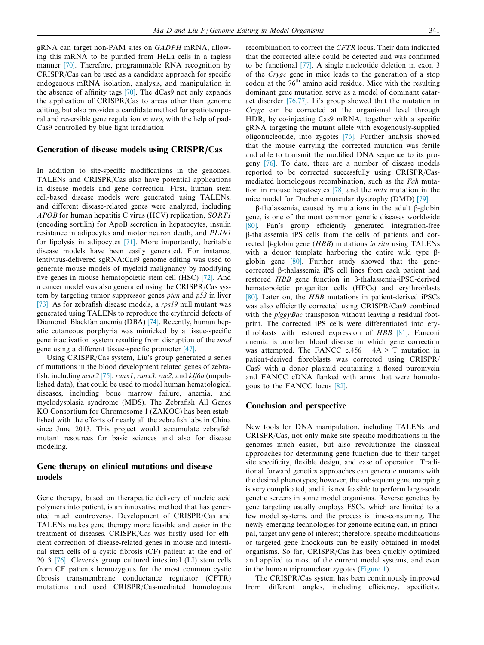gRNA can target non-PAM sites on GADPH mRNA, allowing this mRNA to be purified from HeLa cells in a tagless manner [\[70\]](#page-8-0). Therefore, programmable RNA recognition by CRISPR/Cas can be used as a candidate approach for specific endogenous mRNA isolation, analysis, and manipulation in the absence of affinity tags [\[70\].](#page-8-0) The dCas9 not only expands the application of CRISPR/Cas to areas other than genome editing, but also provides a candidate method for spatiotemporal and reversible gene regulation in vivo, with the help of pad-Cas9 controlled by blue light irradiation.

#### Generation of disease models using CRISPR/Cas

In addition to site-specific modifications in the genomes, TALENs and CRISPR/Cas also have potential applications in disease models and gene correction. First, human stem cell-based disease models were generated using TALENs, and different disease-related genes were analyzed, including APOB for human hepatitis C virus (HCV) replication, SORT1 (encoding sortilin) for ApoB secretion in hepatocytes, insulin resistance in adipocytes and motor neuron death, and PLIN1 for lipolysis in adipocytes [\[71\].](#page-8-0) More importantly, heritable disease models have been easily generated. For instance, lentivirus-delivered sgRNA:Cas9 genome editing was used to generate mouse models of myeloid malignancy by modifying five genes in mouse hematopoietic stem cell (HSC) [\[72\].](#page-8-0) And a cancer model was also generated using the CRISPR/Cas system by targeting tumor suppressor genes *pten* and  $p53$  in liver [\[73\]](#page-8-0). As for zebrafish disease models, a rps19 null mutant was generated using TALENs to reproduce the erythroid defects of Diamond–Blackfan anemia (DBA) [\[74\]](#page-8-0). Recently, human hepatic cutaneous porphyria was mimicked by a tissue-specific gene inactivation system resulting from disruption of the urod gene using a different tissue-specific promoter [\[47\]](#page-7-0).

Using CRISPR/Cas system, Liu's group generated a series of mutations in the blood development related genes of zebrafish, including  $ncor2$  [\[75\],](#page-8-0) runx1, runx3, rac2, and  $klf6a$  (unpublished data), that could be used to model human hematological diseases, including bone marrow failure, anemia, and myelodysplasia syndrome (MDS). The Zebrafish All Genes KO Consortium for Chromosome 1 (ZAKOC) has been established with the efforts of nearly all the zebrafish labs in China since June 2013. This project would accumulate zebrafish mutant resources for basic sciences and also for disease modeling.

## Gene therapy on clinical mutations and disease models

Gene therapy, based on therapeutic delivery of nucleic acid polymers into patient, is an innovative method that has generated much controversy. Development of CRISPR/Cas and TALENs makes gene therapy more feasible and easier in the treatment of diseases. CRISPR/Cas was firstly used for efficient correction of disease-related genes in mouse and intestinal stem cells of a cystic fibrosis (CF) patient at the end of 2013 [\[76\]](#page-8-0). Clevers's group cultured intestinal (LI) stem cells from CF patients homozygous for the most common cystic fibrosis transmembrane conductance regulator (CFTR) mutations and used CRISPR/Cas-mediated homologous recombination to correct the CFTR locus. Their data indicated that the corrected allele could be detected and was confirmed to be functional [\[77\].](#page-8-0) A single nucleotide deletion in exon 3 of the Crygc gene in mice leads to the generation of a stop codon at the 76<sup>th</sup> amino acid residue. Mice with the resulting dominant gene mutation serve as a model of dominant cataract disorder [\[76,77\].](#page-8-0) Li's group showed that the mutation in Crygc can be corrected at the organismal level through HDR, by co-injecting Cas9 mRNA, together with a specific gRNA targeting the mutant allele with exogenously-supplied oligonucleotide, into zygotes [\[76\].](#page-8-0) Further analysis showed that the mouse carrying the corrected mutation was fertile and able to transmit the modified DNA sequence to its progeny [\[76\].](#page-8-0) To date, there are a number of disease models reported to be corrected successfully using CRISPR/Casmediated homologous recombination, such as the Fah mutation in mouse hepatocytes [\[78\]](#page-8-0) and the mdx mutation in the mice model for Duchene muscular dystrophy (DMD) [\[79\]](#page-8-0).

 $\beta$ -thalassemia, caused by mutations in the adult  $\beta$ -globin gene, is one of the most common genetic diseases worldwide [\[80\]](#page-8-0). Pan's group efficiently generated integration-free b-thalassemia iPS cells from the cells of patients and corrected b-globin gene (HBB) mutations in situ using TALENs with a donor template harboring the entire wild type  $\beta$ globin gene [\[80\]](#page-8-0). Further study showed that the genecorrected b-thalassemia iPS cell lines from each patient had restored HBB gene function in β-thalassemia-iPSC-derived hematopoietic progenitor cells (HPCs) and erythroblasts [\[80\]](#page-8-0). Later on, the HBB mutations in patient-derived iPSCs was also efficiently corrected using CRISPR/Cas9 combined with the *piggyBac* transposon without leaving a residual footprint. The corrected iPS cells were differentiated into erythroblasts with restored expression of HBB [\[81\].](#page-8-0) Fanconi anemia is another blood disease in which gene correction was attempted. The FANCC  $c.456 + 4A > T$  mutation in patient-derived fibroblasts was corrected using CRISPR/ Cas9 with a donor plasmid containing a floxed puromycin and FANCC cDNA flanked with arms that were homologous to the FANCC locus [\[82\].](#page-8-0)

#### Conclusion and perspective

New tools for DNA manipulation, including TALENs and CRISPR/Cas, not only make site-specific modifications in the genomes much easier, but also revolutionize the classical approaches for determining gene function due to their target site specificity, flexible design, and ease of operation. Traditional forward genetics approaches can generate mutants with the desired phenotypes; however, the subsequent gene mapping is very complicated, and it is not feasible to perform large-scale genetic screens in some model organisms. Reverse genetics by gene targeting usually employs ESCs, which are limited to a few model systems, and the process is time-consuming. The newly-emerging technologies for genome editing can, in principal, target any gene of interest; therefore, specific modifications or targeted gene knockouts can be easily obtained in model organisms. So far, CRISPR/Cas has been quickly optimized and applied to most of the current model systems, and even in the human tripronuclear zygotes [\(Figure 1\)](#page-3-0).

The CRISPR/Cas system has been continuously improved from different angles, including efficiency, specificity,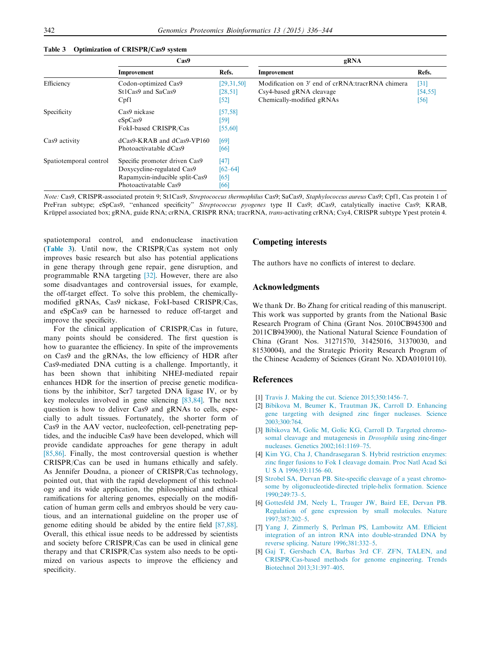|                        | Cas9                                                                                                                   |                                       | gRNA                                                                                                      |                            |  |
|------------------------|------------------------------------------------------------------------------------------------------------------------|---------------------------------------|-----------------------------------------------------------------------------------------------------------|----------------------------|--|
|                        | Improvement                                                                                                            | Refs.                                 | Improvement                                                                                               | Refs.                      |  |
| Efficiency             | Codon-optimized Cas9<br>St1Cas9 and SaCas9<br>Cpf1                                                                     | [29,31,50]<br>[28, 51]<br>[52]        | Modification on 3' end of crRNA:tracrRNA chimera<br>Csy4-based gRNA cleavage<br>Chemically-modified gRNAs | $[31]$<br>[54, 55]<br>[56] |  |
| Specificity            | Cas9 nickase<br>eSpCas9<br>FokI-based CRISPR/Cas                                                                       | [57, 58]<br>[59]<br>[55, 60]          |                                                                                                           |                            |  |
| Cas9 activity          | $dCas9-KRAB$ and $dCas9-VP160$<br>Photoactivatable dCas9                                                               | [69]<br>[66]                          |                                                                                                           |                            |  |
| Spatiotemporal control | Specific promoter driven Cas9<br>Doxycycline-regulated Cas9<br>Rapamycin-inducible split-Cas9<br>Photoactivatable Cas9 | $[47]$<br>$[62 - 64]$<br>[65]<br>[66] |                                                                                                           |                            |  |
|                        |                                                                                                                        |                                       |                                                                                                           |                            |  |

#### <span id="page-6-0"></span>Table 3 Optimization of CRISPR/Cas9 system

Note: Cas9, CRISPR-associated protein 9; St1Cas9, Streptococcus thermophilus Cas9; SaCas9, Staphylococcus aureus Cas9; Cpf1, Cas protein 1 of PreFran subtype; eSpCas9, "enhanced specificity" Streptococcus pyogenes type II Cas9; dCas9, catalytically inactive Cas9; KRAB, Krüppel associated box; gRNA, guide RNA; crRNA, CRISPR RNA; tracrRNA, trans-activating crRNA; Csy4, CRISPR subtype Ypest protein 4.

spatiotemporal control, and endonuclease inactivation (Table 3). Until now, the CRISPR/Cas system not only improves basic research but also has potential applications in gene therapy through gene repair, gene disruption, and programmable RNA targeting [\[32\]](#page-7-0). However, there are also some disadvantages and controversial issues, for example, the off-target effect. To solve this problem, the chemicallymodified gRNAs, Cas9 nickase, FokI-based CRISPR/Cas, and eSpCas9 can be harnessed to reduce off-target and improve the specificity.

For the clinical application of CRISPR/Cas in future, many points should be considered. The first question is how to guarantee the efficiency. In spite of the improvements on Cas9 and the gRNAs, the low efficiency of HDR after Cas9-mediated DNA cutting is a challenge. Importantly, it has been shown that inhibiting NHEJ-mediated repair enhances HDR for the insertion of precise genetic modifications by the inhibitor, Scr7 targeted DNA ligase IV, or by key molecules involved in gene silencing [\[83,84\]](#page-8-0). The next question is how to deliver Cas9 and gRNAs to cells, especially to adult tissues. Fortunately, the shorter form of Cas9 in the AAV vector, nucleofection, cell-penetrating peptides, and the inducible Cas9 have been developed, which will provide candidate approaches for gene therapy in adult [\[85,86\].](#page-8-0) Finally, the most controversial question is whether CRISPR/Cas can be used in humans ethically and safely. As Jennifer Doudna, a pioneer of CRISPR/Cas technology, pointed out, that with the rapid development of this technology and its wide application, the philosophical and ethical ramifications for altering genomes, especially on the modification of human germ cells and embryos should be very cautious, and an international guideline on the proper use of genome editing should be abided by the entire field [\[87,88\]](#page-8-0). Overall, this ethical issue needs to be addressed by scientists and society before CRISPR/Cas can be used in clinical gene therapy and that CRISPR/Cas system also needs to be optimized on various aspects to improve the efficiency and specificity.

### Competing interests

The authors have no conflicts of interest to declare.

#### Acknowledgments

We thank Dr. Bo Zhang for critical reading of this manuscript. This work was supported by grants from the National Basic Research Program of China (Grant Nos. 2010CB945300 and 2011CB943900), the National Natural Science Foundation of China (Grant Nos. 31271570, 31425016, 31370030, and 81530004), and the Strategic Priority Research Program of the Chinese Academy of Sciences (Grant No. XDA01010110).

#### References

- [1] [Travis J. Making the cut. Science 2015;350:1456–7](http://refhub.elsevier.com/S1672-0229(15)00172-2/h0005).
- [2] [Bibikova M, Beumer K, Trautman JK, Carroll D. Enhancing](http://refhub.elsevier.com/S1672-0229(15)00172-2/h0010) [gene targeting with designed zinc finger nucleases. Science](http://refhub.elsevier.com/S1672-0229(15)00172-2/h0010) [2003;300:764](http://refhub.elsevier.com/S1672-0229(15)00172-2/h0010).
- [3] [Bibikova M, Golic M, Golic KG, Carroll D. Targeted chromo](http://refhub.elsevier.com/S1672-0229(15)00172-2/h0015)[somal cleavage and mutagenesis in](http://refhub.elsevier.com/S1672-0229(15)00172-2/h0015) Drosophila using zinc-finger [nucleases. Genetics 2002;161:1169–75.](http://refhub.elsevier.com/S1672-0229(15)00172-2/h0015)
- [4] [Kim YG, Cha J, Chandrasegaran S. Hybrid restriction enzymes:](http://refhub.elsevier.com/S1672-0229(15)00172-2/h0020) [zinc finger fusions to Fok I cleavage domain. Proc Natl Acad Sci](http://refhub.elsevier.com/S1672-0229(15)00172-2/h0020) [U S A 1996;93:1156–60](http://refhub.elsevier.com/S1672-0229(15)00172-2/h0020).
- [5] [Strobel SA, Dervan PB. Site-specific cleavage of a yeast chromo](http://refhub.elsevier.com/S1672-0229(15)00172-2/h0025)[some by oligonucleotide-directed triple-helix formation. Science](http://refhub.elsevier.com/S1672-0229(15)00172-2/h0025) [1990;249:73–5](http://refhub.elsevier.com/S1672-0229(15)00172-2/h0025).
- [6] [Gottesfeld JM, Neely L, Trauger JW, Baird EE, Dervan PB.](http://refhub.elsevier.com/S1672-0229(15)00172-2/h0030) [Regulation of gene expression by small molecules. Nature](http://refhub.elsevier.com/S1672-0229(15)00172-2/h0030) [1997;387:202–5](http://refhub.elsevier.com/S1672-0229(15)00172-2/h0030).
- [7] [Yang J, Zimmerly S, Perlman PS, Lambowitz AM. Efficient](http://refhub.elsevier.com/S1672-0229(15)00172-2/h0035) [integration of an intron RNA into double-stranded DNA by](http://refhub.elsevier.com/S1672-0229(15)00172-2/h0035) [reverse splicing. Nature 1996;381:332–5.](http://refhub.elsevier.com/S1672-0229(15)00172-2/h0035)
- [8] [Gaj T, Gersbach CA, Barbas 3rd CF. ZFN, TALEN, and](http://refhub.elsevier.com/S1672-0229(15)00172-2/h0040) [CRISPR/Cas-based methods for genome engineering. Trends](http://refhub.elsevier.com/S1672-0229(15)00172-2/h0040) [Biotechnol 2013;31:397–405.](http://refhub.elsevier.com/S1672-0229(15)00172-2/h0040)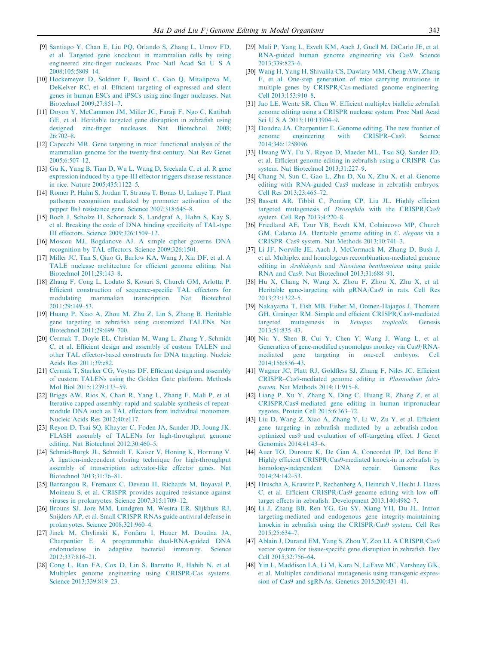- <span id="page-7-0"></span>[9] [Santiago Y, Chan E, Liu PQ, Orlando S, Zhang L, Urnov FD,](http://refhub.elsevier.com/S1672-0229(15)00172-2/h0045) [et al. Targeted gene knockout in mammalian cells by using](http://refhub.elsevier.com/S1672-0229(15)00172-2/h0045) [engineered zinc-finger nucleases. Proc Natl Acad Sci U S A](http://refhub.elsevier.com/S1672-0229(15)00172-2/h0045) [2008;105:5809–14.](http://refhub.elsevier.com/S1672-0229(15)00172-2/h0045)
- [10] [Hockemeyer D, Soldner F, Beard C, Gao Q, Mitalipova M,](http://refhub.elsevier.com/S1672-0229(15)00172-2/h0050) [DeKelver RC, et al. Efficient targeting of expressed and silent](http://refhub.elsevier.com/S1672-0229(15)00172-2/h0050) [genes in human ESCs and iPSCs using zinc-finger nucleases. Nat](http://refhub.elsevier.com/S1672-0229(15)00172-2/h0050) [Biotechnol 2009;27:851–7](http://refhub.elsevier.com/S1672-0229(15)00172-2/h0050).
- [11] [Doyon Y, McCammon JM, Miller JC, Faraji F, Ngo C, Katibah](http://refhub.elsevier.com/S1672-0229(15)00172-2/h0055) [GE, et al. Heritable targeted gene disruption in zebrafish using](http://refhub.elsevier.com/S1672-0229(15)00172-2/h0055) [designed zinc-finger nucleases. Nat Biotechnol 2008;](http://refhub.elsevier.com/S1672-0229(15)00172-2/h0055)  $26.702 - 8$
- [12] [Capecchi MR. Gene targeting in mice: functional analysis of the](http://refhub.elsevier.com/S1672-0229(15)00172-2/h0060) [mammalian genome for the twenty-first century. Nat Rev Genet](http://refhub.elsevier.com/S1672-0229(15)00172-2/h0060) [2005;6:507–12.](http://refhub.elsevier.com/S1672-0229(15)00172-2/h0060)
- [13] [Gu K, Yang B, Tian D, Wu L, Wang D, Sreekala C, et al. R gene](http://refhub.elsevier.com/S1672-0229(15)00172-2/h0065) [expression induced by a type-III effector triggers disease resistance](http://refhub.elsevier.com/S1672-0229(15)00172-2/h0065) [in rice. Nature 2005;435:1122–5.](http://refhub.elsevier.com/S1672-0229(15)00172-2/h0065)
- [14] [Romer P, Hahn S, Jordan T, Strauss T, Bonas U, Lahaye T. Plant](http://refhub.elsevier.com/S1672-0229(15)00172-2/h0070) [pathogen recognition mediated by promoter activation of the](http://refhub.elsevier.com/S1672-0229(15)00172-2/h0070) [pepper Bs3 resistance gene. Science 2007;318:645–8.](http://refhub.elsevier.com/S1672-0229(15)00172-2/h0070)
- [15] [Boch J, Scholze H, Schornack S, Landgraf A, Hahn S, Kay S,](http://refhub.elsevier.com/S1672-0229(15)00172-2/h0075) [et al. Breaking the code of DNA binding specificity of TAL-type](http://refhub.elsevier.com/S1672-0229(15)00172-2/h0075) [III effectors. Science 2009;326:1509–12.](http://refhub.elsevier.com/S1672-0229(15)00172-2/h0075)
- [16] [Moscou MJ, Bogdanove AJ. A simple cipher governs DNA](http://refhub.elsevier.com/S1672-0229(15)00172-2/h0080) [recognition by TAL effectors. Science 2009;326:1501.](http://refhub.elsevier.com/S1672-0229(15)00172-2/h0080)
- [17] [Miller JC, Tan S, Qiao G, Barlow KA, Wang J, Xia DF, et al. A](http://refhub.elsevier.com/S1672-0229(15)00172-2/h0085) [TALE nuclease architecture for efficient genome editing. Nat](http://refhub.elsevier.com/S1672-0229(15)00172-2/h0085) [Biotechnol 2011;29:143–8](http://refhub.elsevier.com/S1672-0229(15)00172-2/h0085).
- [18] [Zhang F, Cong L, Lodato S, Kosuri S, Church GM, Arlotta P.](http://refhub.elsevier.com/S1672-0229(15)00172-2/h0090) [Efficient construction of sequence-specific TAL effectors for](http://refhub.elsevier.com/S1672-0229(15)00172-2/h0090) [modulating mammalian transcription. Nat Biotechnol](http://refhub.elsevier.com/S1672-0229(15)00172-2/h0090)  $2011:29:149-53$
- [19] [Huang P, Xiao A, Zhou M, Zhu Z, Lin S, Zhang B. Heritable](http://refhub.elsevier.com/S1672-0229(15)00172-2/h0095) [gene targeting in zebrafish using customized TALENs. Nat](http://refhub.elsevier.com/S1672-0229(15)00172-2/h0095) [Biotechnol 2011;29:699–700](http://refhub.elsevier.com/S1672-0229(15)00172-2/h0095).
- [20] [Cermak T, Doyle EL, Christian M, Wang L, Zhang Y, Schmidt](http://refhub.elsevier.com/S1672-0229(15)00172-2/h0100) [C, et al. Efficient design and assembly of custom TALEN and](http://refhub.elsevier.com/S1672-0229(15)00172-2/h0100) [other TAL effector-based constructs for DNA targeting. Nucleic](http://refhub.elsevier.com/S1672-0229(15)00172-2/h0100) [Acids Res 2011;39:e82.](http://refhub.elsevier.com/S1672-0229(15)00172-2/h0100)
- [21] [Cermak T, Starker CG, Voytas DF. Efficient design and assembly](http://refhub.elsevier.com/S1672-0229(15)00172-2/h0105) [of custom TALENs using the Golden Gate platform. Methods](http://refhub.elsevier.com/S1672-0229(15)00172-2/h0105) [Mol Biol 2015;1239:133–59.](http://refhub.elsevier.com/S1672-0229(15)00172-2/h0105)
- [22] [Briggs AW, Rios X, Chari R, Yang L, Zhang F, Mali P, et al.](http://refhub.elsevier.com/S1672-0229(15)00172-2/h0110) [Iterative capped assembly: rapid and scalable synthesis of repeat](http://refhub.elsevier.com/S1672-0229(15)00172-2/h0110)[module DNA such as TAL effectors from individual monomers.](http://refhub.elsevier.com/S1672-0229(15)00172-2/h0110) [Nucleic Acids Res 2012;40:e117](http://refhub.elsevier.com/S1672-0229(15)00172-2/h0110).
- [23] [Reyon D, Tsai SQ, Khayter C, Foden JA, Sander JD, Joung JK.](http://refhub.elsevier.com/S1672-0229(15)00172-2/h0115) [FLASH assembly of TALENs for high-throughput genome](http://refhub.elsevier.com/S1672-0229(15)00172-2/h0115) [editing. Nat Biotechnol 2012;30:460–5](http://refhub.elsevier.com/S1672-0229(15)00172-2/h0115).
- [24] [Schmid-Burgk JL, Schmidt T, Kaiser V, Honing K, Hornung V.](http://refhub.elsevier.com/S1672-0229(15)00172-2/h0120) [A ligation-independent cloning technique for high-throughput](http://refhub.elsevier.com/S1672-0229(15)00172-2/h0120) [assembly of transcription activator-like effector genes. Nat](http://refhub.elsevier.com/S1672-0229(15)00172-2/h0120) [Biotechnol 2013;31:76–81](http://refhub.elsevier.com/S1672-0229(15)00172-2/h0120).
- [25] [Barrangou R, Fremaux C, Deveau H, Richards M, Boyaval P,](http://refhub.elsevier.com/S1672-0229(15)00172-2/h0125) [Moineau S, et al. CRISPR provides acquired resistance against](http://refhub.elsevier.com/S1672-0229(15)00172-2/h0125) [viruses in prokaryotes. Science 2007;315:1709–12](http://refhub.elsevier.com/S1672-0229(15)00172-2/h0125).
- [26] [Brouns SJ, Jore MM, Lundgren M, Westra ER, Slijkhuis RJ,](http://refhub.elsevier.com/S1672-0229(15)00172-2/h0130) [Snijders AP, et al. Small CRISPR RNAs guide antiviral defense in](http://refhub.elsevier.com/S1672-0229(15)00172-2/h0130) [prokaryotes. Science 2008;321:960–4](http://refhub.elsevier.com/S1672-0229(15)00172-2/h0130).
- [27] [Jinek M, Chylinski K, Fonfara I, Hauer M, Doudna JA,](http://refhub.elsevier.com/S1672-0229(15)00172-2/h0135) [Charpentier E. A programmable dual-RNA-guided DNA](http://refhub.elsevier.com/S1672-0229(15)00172-2/h0135) [endonuclease in adaptive bacterial immunity. Science](http://refhub.elsevier.com/S1672-0229(15)00172-2/h0135) [2012;337:816–21.](http://refhub.elsevier.com/S1672-0229(15)00172-2/h0135)
- [28] [Cong L, Ran FA, Cox D, Lin S, Barretto R, Habib N, et al.](http://refhub.elsevier.com/S1672-0229(15)00172-2/h0140) [Multiplex genome engineering using CRISPR/Cas systems.](http://refhub.elsevier.com/S1672-0229(15)00172-2/h0140) [Science 2013;339:819–23](http://refhub.elsevier.com/S1672-0229(15)00172-2/h0140).
- [29] [Mali P, Yang L, Esvelt KM, Aach J, Guell M, DiCarlo JE, et al.](http://refhub.elsevier.com/S1672-0229(15)00172-2/h0145) [RNA-guided human genome engineering via Cas9. Science](http://refhub.elsevier.com/S1672-0229(15)00172-2/h0145) [2013;339:823–6.](http://refhub.elsevier.com/S1672-0229(15)00172-2/h0145)
- [30] [Wang H, Yang H, Shivalila CS, Dawlaty MM, Cheng AW, Zhang](http://refhub.elsevier.com/S1672-0229(15)00172-2/h0150) [F, et al. One-step generation of mice carrying mutations in](http://refhub.elsevier.com/S1672-0229(15)00172-2/h0150) [multiple genes by CRISPR/Cas-mediated genome engineering.](http://refhub.elsevier.com/S1672-0229(15)00172-2/h0150) [Cell 2013;153:910–8](http://refhub.elsevier.com/S1672-0229(15)00172-2/h0150).
- [31] [Jao LE, Wente SR, Chen W. Efficient multiplex biallelic zebrafish](http://refhub.elsevier.com/S1672-0229(15)00172-2/h0155) [genome editing using a CRISPR nuclease system. Proc Natl Acad](http://refhub.elsevier.com/S1672-0229(15)00172-2/h0155) [Sci U S A 2013;110:13904–9.](http://refhub.elsevier.com/S1672-0229(15)00172-2/h0155)
- [32] [Doudna JA, Charpentier E. Genome editing. The new frontier of](http://refhub.elsevier.com/S1672-0229(15)00172-2/h0160) [genome engineering with CRISPR–Cas9. Science](http://refhub.elsevier.com/S1672-0229(15)00172-2/h0160) [2014;346:1258096.](http://refhub.elsevier.com/S1672-0229(15)00172-2/h0160)
- [33] [Hwang WY, Fu Y, Reyon D, Maeder ML, Tsai SQ, Sander JD,](http://refhub.elsevier.com/S1672-0229(15)00172-2/h0165) [et al. Efficient genome editing in zebrafish using a CRISPR–Cas](http://refhub.elsevier.com/S1672-0229(15)00172-2/h0165) [system. Nat Biotechnol 2013;31:227–9.](http://refhub.elsevier.com/S1672-0229(15)00172-2/h0165)
- [34] [Chang N, Sun C, Gao L, Zhu D, Xu X, Zhu X, et al. Genome](http://refhub.elsevier.com/S1672-0229(15)00172-2/h0170) [editing with RNA-guided Cas9 nuclease in zebrafish embryos.](http://refhub.elsevier.com/S1672-0229(15)00172-2/h0170) [Cell Res 2013;23:465–72](http://refhub.elsevier.com/S1672-0229(15)00172-2/h0170).
- [35] [Bassett AR, Tibbit C, Ponting CP, Liu JL. Highly efficient](http://refhub.elsevier.com/S1672-0229(15)00172-2/h0175) [targeted mutagenesis of](http://refhub.elsevier.com/S1672-0229(15)00172-2/h0175) Drosophila with the CRISPR/Cas9 [system. Cell Rep 2013;4:220–8](http://refhub.elsevier.com/S1672-0229(15)00172-2/h0175).
- [36] [Friedland AE, Tzur YB, Esvelt KM, Colaiacovo MP, Church](http://refhub.elsevier.com/S1672-0229(15)00172-2/h0180) [GM, Calarco JA. Heritable genome editing in](http://refhub.elsevier.com/S1672-0229(15)00172-2/h0180) C. elegans via a [CRISPR–Cas9 system. Nat Methods 2013;10:741–3.](http://refhub.elsevier.com/S1672-0229(15)00172-2/h0180)
- [37] [Li JF, Norville JE, Aach J, McCormack M, Zhang D, Bush J,](http://refhub.elsevier.com/S1672-0229(15)00172-2/h0185) [et al. Multiplex and homologous recombination-mediated genome](http://refhub.elsevier.com/S1672-0229(15)00172-2/h0185) editing in Arabidopsis and [Nicotiana benthamiana](http://refhub.elsevier.com/S1672-0229(15)00172-2/h0185) using guide [RNA and Cas9. Nat Biotechnol 2013;31:688–91.](http://refhub.elsevier.com/S1672-0229(15)00172-2/h0185)
- [38] [Hu X, Chang N, Wang X, Zhou F, Zhou X, Zhu X, et al.](http://refhub.elsevier.com/S1672-0229(15)00172-2/h0190) [Heritable gene-targeting with gRNA/Cas9 in rats. Cell Res](http://refhub.elsevier.com/S1672-0229(15)00172-2/h0190) [2013;23:1322–5.](http://refhub.elsevier.com/S1672-0229(15)00172-2/h0190)
- [39] [Nakayama T, Fish MB, Fisher M, Oomen-Hajagos J, Thomsen](http://refhub.elsevier.com/S1672-0229(15)00172-2/h0195) [GH, Grainger RM. Simple and efficient CRISPR/Cas9-mediated](http://refhub.elsevier.com/S1672-0229(15)00172-2/h0195) [targeted mutagenesis in](http://refhub.elsevier.com/S1672-0229(15)00172-2/h0195) Xenopus tropicalis. Genesis [2013;51:835–43.](http://refhub.elsevier.com/S1672-0229(15)00172-2/h0195)
- [40] [Niu Y, Shen B, Cui Y, Chen Y, Wang J, Wang L, et al.](http://refhub.elsevier.com/S1672-0229(15)00172-2/h0200) [Generation of gene-modified cynomolgus monkey via Cas9/RNA](http://refhub.elsevier.com/S1672-0229(15)00172-2/h0200)[mediated gene targeting in one-cell embryos. Cell](http://refhub.elsevier.com/S1672-0229(15)00172-2/h0200) [2014;156:836–43.](http://refhub.elsevier.com/S1672-0229(15)00172-2/h0200)
- [41] [Wagner JC, Platt RJ, Goldfless SJ, Zhang F, Niles JC. Efficient](http://refhub.elsevier.com/S1672-0229(15)00172-2/h0205) [CRISPR–Cas9-mediated genome editing in](http://refhub.elsevier.com/S1672-0229(15)00172-2/h0205) Plasmodium falciparum[. Nat Methods 2014;11:915–8.](http://refhub.elsevier.com/S1672-0229(15)00172-2/h0205)
- [42] [Liang P, Xu Y, Zhang X, Ding C, Huang R, Zhang Z, et al.](http://refhub.elsevier.com/S1672-0229(15)00172-2/h0210) [CRISPR/Cas9-mediated gene editing in human tripronuclear](http://refhub.elsevier.com/S1672-0229(15)00172-2/h0210) [zygotes. Protein Cell 2015;6:363–72.](http://refhub.elsevier.com/S1672-0229(15)00172-2/h0210)
- [43] [Liu D, Wang Z, Xiao A, Zhang Y, Li W, Zu Y, et al. Efficient](http://refhub.elsevier.com/S1672-0229(15)00172-2/h0215) [gene targeting in zebrafish mediated by a zebrafish-codon](http://refhub.elsevier.com/S1672-0229(15)00172-2/h0215)[optimized cas9 and evaluation of off-targeting effect. J Genet](http://refhub.elsevier.com/S1672-0229(15)00172-2/h0215) [Genomics 2014;41:43–6.](http://refhub.elsevier.com/S1672-0229(15)00172-2/h0215)
- [44] [Auer TO, Duroure K, De Cian A, Concordet JP, Del Bene F.](http://refhub.elsevier.com/S1672-0229(15)00172-2/h0220) [Highly efficient CRISPR/Cas9-mediated knock-in in zebrafish by](http://refhub.elsevier.com/S1672-0229(15)00172-2/h0220) [homology-independent DNA repair. Genome Res](http://refhub.elsevier.com/S1672-0229(15)00172-2/h0220) [2014;24:142–53.](http://refhub.elsevier.com/S1672-0229(15)00172-2/h0220)
- [45] [Hruscha A, Krawitz P, Rechenberg A, Heinrich V, Hecht J, Haass](http://refhub.elsevier.com/S1672-0229(15)00172-2/h0225) [C, et al. Efficient CRISPR/Cas9 genome editing with low off](http://refhub.elsevier.com/S1672-0229(15)00172-2/h0225)[target effects in zebrafish. Development 2013;140:4982–7.](http://refhub.elsevier.com/S1672-0229(15)00172-2/h0225)
- [46] [Li J, Zhang BB, Ren YG, Gu SY, Xiang YH, Du JL. Intron](http://refhub.elsevier.com/S1672-0229(15)00172-2/h0230) [targeting-mediated and endogenous gene integrity-maintaining](http://refhub.elsevier.com/S1672-0229(15)00172-2/h0230) [knockin in zebrafish using the CRISPR/Cas9 system. Cell Res](http://refhub.elsevier.com/S1672-0229(15)00172-2/h0230) [2015;25:634–7](http://refhub.elsevier.com/S1672-0229(15)00172-2/h0230).
- [47] [Ablain J, Durand EM, Yang S, Zhou Y, Zon LI. A CRISPR/Cas9](http://refhub.elsevier.com/S1672-0229(15)00172-2/h0235) [vector system for tissue-specific gene disruption in zebrafish. Dev](http://refhub.elsevier.com/S1672-0229(15)00172-2/h0235) [Cell 2015;32:756–64](http://refhub.elsevier.com/S1672-0229(15)00172-2/h0235).
- [48] [Yin L, Maddison LA, Li M, Kara N, LaFave MC, Varshney GK,](http://refhub.elsevier.com/S1672-0229(15)00172-2/h0240) [et al. Multiplex conditional mutagenesis using transgenic expres](http://refhub.elsevier.com/S1672-0229(15)00172-2/h0240)[sion of Cas9 and sgRNAs. Genetics 2015;200:431–41.](http://refhub.elsevier.com/S1672-0229(15)00172-2/h0240)